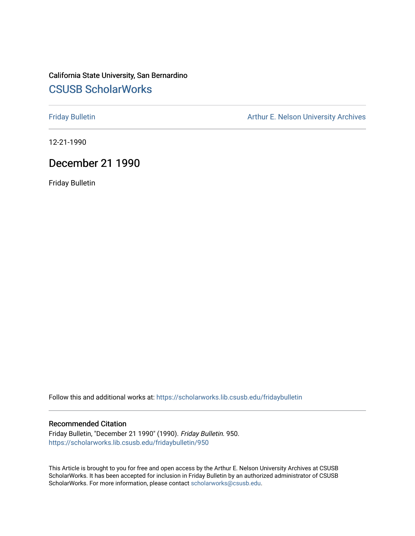# California State University, San Bernardino [CSUSB ScholarWorks](https://scholarworks.lib.csusb.edu/)

[Friday Bulletin](https://scholarworks.lib.csusb.edu/fridaybulletin) **Arthur E. Nelson University Archives** Arthur E. Nelson University Archives

12-21-1990

# December 21 1990

Friday Bulletin

Follow this and additional works at: [https://scholarworks.lib.csusb.edu/fridaybulletin](https://scholarworks.lib.csusb.edu/fridaybulletin?utm_source=scholarworks.lib.csusb.edu%2Ffridaybulletin%2F950&utm_medium=PDF&utm_campaign=PDFCoverPages)

#### Recommended Citation

Friday Bulletin, "December 21 1990" (1990). Friday Bulletin. 950. [https://scholarworks.lib.csusb.edu/fridaybulletin/950](https://scholarworks.lib.csusb.edu/fridaybulletin/950?utm_source=scholarworks.lib.csusb.edu%2Ffridaybulletin%2F950&utm_medium=PDF&utm_campaign=PDFCoverPages)

This Article is brought to you for free and open access by the Arthur E. Nelson University Archives at CSUSB ScholarWorks. It has been accepted for inclusion in Friday Bulletin by an authorized administrator of CSUSB ScholarWorks. For more information, please contact [scholarworks@csusb.edu.](mailto:scholarworks@csusb.edu)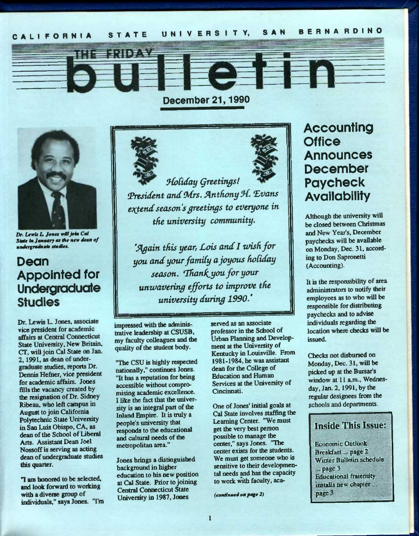**December 21,1990** 



Dr. Lewis L. Jones will join Cal 5M« bi *Jmmumry mm Hit ntw* 4<mh *of mHdtrgrmJmmtt tImiKot.* 

# **Dean Appointed for Undergraduate Studies**

Dr. Lewis L. Jones, associate vice president for academic affairs at Central Connecticut State University, New Britain, CT, will join Cal State on Jan. 2,1991, as dean of undergraduate studies, reports Dr. Dennis Hefner, vice president for academic affairs. Jones fills the vacancy created by the resignation of Dr. Sidney Ribeau, who left campus in August to join California Polytechnic State University in San Luis Obispo, CA, as dean of the School of Liberal Arts. Assistant Dean Joel Nossoff is serving as acting dean of undergraduate studies this quarter.

"I am honored to be selected, and *look* forward to working with a diverse group of individuals," says Jones. "I'm



ENIFER



*fHotiday Qrtetingsl*  President and Mrs. Anthony H. Evans *extend season's greetings to everyone in tHe university community,* 

'Again this year, Lois and I wish for *you and your famUy ajoyous fwtiday*  season. Thank you for your *uwwavering efforts to improve tfie university during 1990,'* 

impressed with the administrative leadership at CSUSB, my faculty colleagues and die quality of the student body.

"The CSU is highly respected nationally," continues Jones. "It has a reputation for being accessible without compromising academic excellence. I like the fact that the university is an integral part of the Inland Empire. It is truly a people's university that responds to the educational and cultural needs of the metropolitan area."

Jones brings a distinguished background in higher education to his new position at Cal State. Prior to joining Central Connecticut State University in 1987, Jones

served as an associate professor in the Sdiool of Urban Planning and Development at the University of Kentudcy in Louisville. From 1981-1984, he was assistant dean for the College of Education and Human Services at the University of Cincinnati.

One of Jones' initial goals at Cal State involves staffing the Learning Center. "We must get the very best person possible to manage the center," says Jones. "The center exists for the students. We must get someone who is We must get someone who is<br>sensitive to their developmen-<br>tal needs and has the capacity to work with faculty, aca-

*(continued on page 2)* 

# **Accounting Office Announces December Paycheck Availability**

Although the university will be closed between Christmas and New Year's, December paychecks will be available on Monday, Dec. 31, according to Don Sapronetti (Accounting).

It is the responsibility of area administrators to notify their employees as to who will be responsible for distributing paychecks and to advise individuals regarding the location where checks will be issued.

Checks not disbursed on Monday, Dec. 31, will be picked up at the Bursar's window at 11 a.m., Wednesday, Jan. 2,1991, by the regular designees from the schools and departments.

## **Inside This Issue:**

**Fconomic Outlook** Breakfast... page 2 Winter Bulletin schedule ...page 3 Educational fratemity installs new chapter... page 3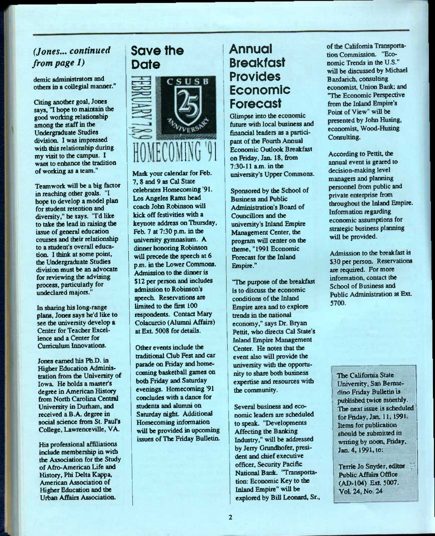# *(Jones... continued from page 1)*

demic administrators and others in a collegial manner."

Citing another goal, Jones says, "I hope to maintain the good working relationship among the staff in the Undergraduate Studies division. I was impressed with this relationship during my visit to the campus. I want to enhance the tradition of working as a team."

Teamwork will be a big factor in reaching other goals. "I hope to develop a model plan for student retention and diversity," he says. "I'd like to take the lead in raising the issue of general educaticm courses and their relationship to a student's overall education. I think at some point, the Undergraduate Studies division must be an advocate for reviewing the advising process, particularly for undeclared majors."

In sharing his long-range plans, Jones says he'd like to see the university develop a Center for Teacher Excellence and a Center for Curriculum Innovations.

Jones earned his Pb.D. in Higher Education Administration from the University of Iowa. He holds a master's degree in American History from North Carolina Central University in Durham, and received a B.A. degree in social science from St. Paul's College, Lawrenceville, VA.

His professional affiliations include membership in with the Association for the Study of Afro-American Life and History, Phi Delta Kappa, American Association of Higher Education and the Urban Affairs Assodation.

# **Save the Dote**



Mark your calendar for Feb. 7, 8 and 9 as Cal State celebrates Homecoming '91. Los Angeles Rams head coach John Robinson will kick off festivities with a keynote address on Thursday, Feb. 7 at 7:30 p.m. in the university gymnasium. A dinner honoring Robinson will precede the speech at 6 p.m. in the Lower Commons. Admission to the dinner is \$12 per person and includes admission to Robinson's speech. Reservations are limited to the first 100 respondents. Contact Mary Colacurcio (Alumni Affairs) at Ext. 5008 for details.

Other events indude the traditional Club Fest and car parade on Friday and homecoming basketball games on both Friday and Saturday evenings. Homecoming '91 concludes with a dance for students and alumni on Saturday night. Additional Homecoming information will be provided in upcoming issues of The Friday Bulletin.

# **Annual Breakfast Provides Economic Forecast**

Glimpse into the economic future widi local business and financial leaders as a participant of the Fourth Annual **Economic Outlook Breakfast** on Friday, Jan. 18, from 7:30-11 a.m. inthe university's Upper Commons.

Sponsored by the School of Business and Public Administration's Board of Councillors and the university's Inland Empire Management Center, the program will center on the theme, "1991 Economic Forecast for the Inland Empire."

"The purpose of the breakfast is to discuss the economic conditions of the Inland Empire area and to explore trends in the national economy," says Dr. Bryan Pettit, who directs Cal State's Inland Empire Management Center. He notes that the event also will provide the university with the opportunity to share both business expertise and resources with the community.

Several business and economic leaders are scheduled to speak. "Developments Affecting the Banking Industry," will be addressed by Jerry Grundhofer, president and chief executive officer, Security Pacific National Bank. 'Transportation: Economic Key to the Inland Empire" will be explored by Bill Leonard, Sr., of the California Transportation Commission. "Economic Trends in the U.S." will be discussed by Michael Bazdarich, consulting economist. Union Bank: and "The Economic Perspective from the Inland Empire's Point of View" will be presented by John Husing, economist, Wood-Husing Consulting.

According to Pettit, the annual event is geared to decision-making level managers and planning personnel from public and private enterprise from throughout the Inland Empire. Information regarding economic assumptions for strategic business planning will be provided.

Admission to the breakfast is \$30 per person. Reservations are required. For more information, contact the School of Business and Public Administration at Ext. 5700.

The California State University, San Bernardino Friday Bulletin is published twice monthly. The next issue is scheduled for Friday, Jan. 11, 1991. Items for publication should be submitted in writing by noon, Friday, Jan. 4, 1991, to:

Terrie Jo Snyder, editor Public Affaira Office (AD-104) Ext. 5007. Vol. 24, No. 24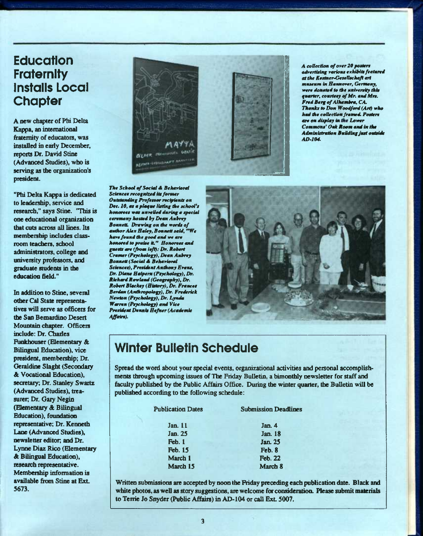# **Education Fraternity instaiis Locai Chapter**

A new chapter of Phi Delta Kappa, an international firatemity of educators, was installed in eariy December, reports Dr. David Stine (Advanced Studies), who is serving as the organization's president.

"Phi Delta Kappa is dedicated to leadership, service and research," says Stine. "This is one educational organization that cuts across all lines. Its membership includes classroom teachers, school administrators, college and university professors, and graduate students in the education field."

In addition to Stine, several odier Cal State representatives will serve as officers for the San Bernardino Desert Mountain chapter. Officers include: Dr. Charles Funkhouser (Elementary & Bilingual Education), vice president, membership; Dr. Geraldine Slaght (Secondary A Vocational Education), secretary. Dr. Stanley Swartz (Advanced Studies), treasurer, Dr. Gary Negin (Elementary & Bilingual Education), foundation representative; Dr. Kenneth Lane (Advanced Studies), newsletter editor, and Dr. Lynne Diaz Rico (Elementary A Bilingual Education), research representative. Membership information is available firom Stine at Ext 5673.



*The School ef Social A Behariorat Sciences recognixod its former Outstanding Professor rec^rients on Dec. 10, as a plaque listing the school's honorees was unreUed during a fecial ceremony hotted by Dean Aubrey BonnetL Drawing on the words of author Alex Haley, Bonnett said, "We hare/bund the good and we are honored to praise it." Honorees and guests are (from left): Dr. Robert Cramer (Psychology), Dean Aubrey Bonnett (Social A Beharioral Sciences), President Anthony Erans, Dr. Diane Halpem (Psychology), Dr. Riehmd Rowland (Geogr^thy), Dr. Robert Btackey (History), Dr. Frances Berdan (Anthropology), Dr. Frederick Newton (Psychology), Dr. Lynda Warren (Psychology) and Vice President Dennis Hefner (Academic Affairs).* 



*AD-104.* 

*A collection of over 20 posters odvorHting VOHOUM txhihUM ftotmroi attht KeMtner-G^sxlUehaft art muaaum Ut Hamnopar, Germany, were donated to the mnirereity thie quarter, eourteey ^ Mr. and Mre.*  **Fred Berg of Alhambra, CA. Thanks to Don Woodford (Art) who** *had the eoBeetion framed. Potlert are on display in Lower Commont' Oak Room and in tits Administration Building just outside* 

# **Winter Bulletin Schedule**

Spread the word about your special events, organizational activities and personal accomplishments through upcoming issues of The Friday Bulletin, a bimonthly newsletter for staff and faulty published by the Public Affairs Office. During the winter quarter, the Bulletin will be published according to the following schedule:

| <b>Submission Deadlines</b> |
|-----------------------------|
| Jan. 4                      |
| Jan. 18                     |
| Jan. 25                     |
| Feb. 8                      |
| <b>Feb. 22</b>              |
| March 8                     |
|                             |

Written submissions are accepted by noon the Friday preceding each publication date. Black and white photos, as well as story suggestions, are welcome for consideration. Please submit materials to Terrie Jo Snyder (Public Affairs) in AD-104 or call Ext 5007.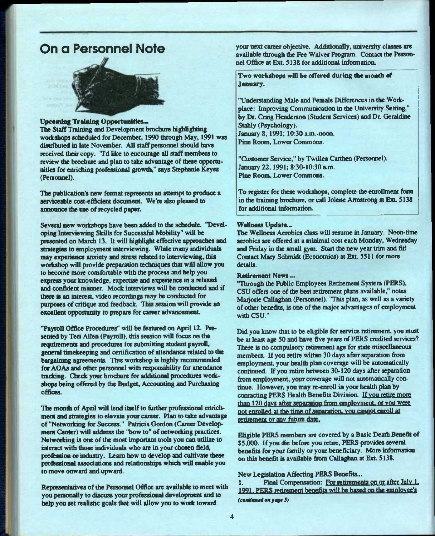# **On a Personnel Note**



#### Upcoming Training Opportunities...

The Staff Training and Development brochure highlighting workshops scheduled for December, 1990 through May, 1991 was distributed in late November. All staff personnel should have received their copy. 'Td like to encourage all staff members to review the brochure and plan to take advantage of these opportunities *for* enriching professional growth," says Stephanie Keyes (Personnel).

The publication's new format represents an attempt to produce a serviceable cost-efficient document. We're also pleased to announce the use of recycled paper.

Several new workshops have been added to the schedule. "Devdoping Interviewing Skills for Successful Mobility" will be presented on March 13. It will highlight effiective approaches and strategies to employment interviewing. While many individuals may experience anxiety and stress related to interviewiog, this workshop will provide preparation techniques that will allow you to become more comfortable with the process and help you express your knowledge, expertise and experience in a relaxed and confident manner. Mock interviews will be conducted and if there is an interest, video recordings may be conducted for purposes of critique and feedback. This session will provide an excellent opportunity to prepare for career advancement.

"Payroll Office Procedures" will be featured on April 12. Presented by Teri Allen (Payroll), this session will focus on the requirements and procedures for submitting student payroll, general timekeeping and certificatioo of attendance related to die bargaining agreements. This workshop is highly recommended for AOAs and other personnel with responsibility for attendance tracking. Check your brodnire for additiooal procedures workshops being offered by the Budget, Accounting and Purchasing offices.

The month of April will lend itself to further professional enrichment and strategies to elevate your career. Plan to take advantage of "Networking for Success." Patricia Gordon (Career Development Center) will address the "how to" of networking practices. Networking is one of the most important tools you can utilize to imeract with those individuals who are in your chosen field, profession or industry. Learn bow to develop and cultivate these professimial assodations and relationships which will enable you to move onward and upward.

Representatives of the Personnel Office are available to meet with you peraonally to discuss your professional development and to help you set realistic goals that will allow you to work toward

your next career objective. Additionally, university classes are available through the Fee Waiver Program. Contact the Personnel Office at Ext. 5138 for additional information.

Two workshops will be offered daring the month of January.

"Understanding Male and Female Differences in the Workplace: Improving Communication in the University Setting," by Dr. Craig Henderson (Student Services) and Dr. Geraldine Stahly (Psychology). January 8,1991; 10:30 a.m.-noon.

Pine Room, Lower Commons.

"Customer Service," by Twillea Carthen (Personnel). January 22, 1991; 8:30-10:30 a.m. Pine Romn, Lower Commons.

To register for these workshops, complete the enrollment form in the training brochure, or call Jolene Armstrong at Ext. 5138 for additional informatioa

#### Wellness Update...

The Wellness Aerobics class will resume in January. Noon-time aerobics are offered at a minimal cost each Monday, Wednesday and Friday in the small gym. Start the new year trim and fit! Contact Mary Schmidt (Economics) at Ext 5511 for more details.

#### Retirement News...

"Through the Public Employees Retirement System (PERS), CSU offers one of the best retirement plans available," notes Maqorie Callaghan (Personnel). "This plan, as well as a variety of other benefits, is one of the major advantages of employment with CSU."

Did you know that to be eligible for service retirement, you must be at least age 50 and have five years of PERS credited services? There is no compulsory retirement age for state miscellaneous members. If you retire within 30 days after separation from employment, your health plan coverage will be automatically continued. If you retire between 30-120 days after separation from employment, your coverage will not automatically continue. However, you may re-enroll in your health plan by contacting PERS Health Benefits Division. If you retire more than 120 days after separation from employment. or you were not enroUcd at the time of senaratioa. vou cannot enroll at retirement or any future date.

Eligible PERS members are covered by a Basic Death Benefit of \$5,000. If you die before you retire, PERS provides several benefits for your family or your beneficiary. More information on this benefit is available from Callaghan at Ext. 5138.

New Legislation Affecting PERS Benefits...

1. Final Compensation: For retirements on or after July 1. 1991. PERS retirement benefits will be based on the employee's *(e»mtimu\*ii 0m prng\* 5)*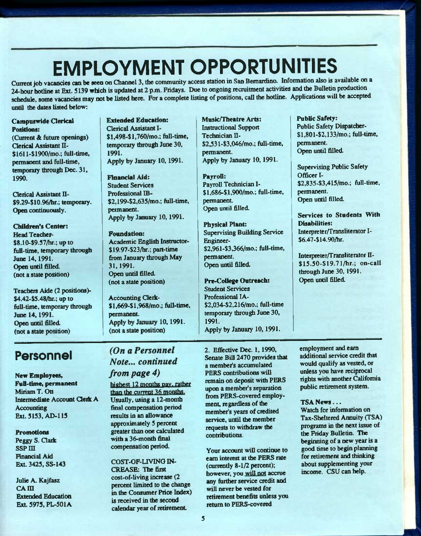# **EMPLOYMENT OPPORTUNITIES**

Cunent job vacancies can be seen on Channel 3, the community access station in Sao Bernardino. Information also is available on a 24-hour hotline at Ext. 5139 which is updated at 2 p.m. Fridays. Due to ongoing recruitment activities and the Bulletin production schedule, some vacancies may not be listed here. For a complete listing of positions, call the hotline. Applications will be accepted until the dates listed below:

#### Campuswide Clerical Positions:

(Current & future openings) Clerical Assistant II- \$1611-\$1900/mo.; full-time, permanent and full-time, temporary through Dec. 31, 1990.

Clerical Assistant II- \$9.29-\$10.96/br.; temporary. Open continuously.

Children's Center: Head Teacher-\$8.10-\$9.37/hr.; up to full-time, temporary through June 14,1991. Open until filled. (not a state position)

Teachers Aide (2 positions)-\$4.42-\$S.48/hr.; up to full-time, temporary through June 14,1991. Open until filled. (not a state position)

# **Personnel**

New Employees, Full-time, permanent Miriam T. Ott Intermediate Account Clerk A **Accounting** Exl.5153,AD-115

### Promotions Peggy S. Clark **ssp III**

**Financial Aid** Ext. 3425, SS-143

Julie A. Kajfasz  $CA$  $III$ Extended Education Ext. 5975, PL-501A Extended Education: Qerical Assistant I- \$1,498-\$1,760/mo.; full-time, temporary through June 30, 1991. Apply by January 10, 1991.

Financial Aid: Student Services Professional IB- \$2,199-\$2,635/mo.; full-time, permanent. Apply by January 10, 1991.

#### Foundation:

Academic English Instructor- \$19.97-\$23/hr.; part-time from January through May 31,1991. Open until filled. (not a state position)

**Accounting Clerk-**\$l,669-\$l,968/mo.; full-time, permanent. Apply by January 10, 1991. (not a state position)

Musk/Theatre Arts: Instructional Support Technician II-S2,531-\$3,046/mo.; fiill-time, permanent. Apply by January 10,1991.

Payroll: Payroll Tedmician I- \$l,686-\$l,900/mo.; full-time, permanent. Open until filled.

Physical Plant: Supervising Building Service Eogineer- \$2,961-\$3,366/mo.; fiiU-time, permanent. Open until filled.

Pre-CoUege Outreach: Student Services Professional lA- \$2,034-\$2.216/mo.; full-time temporary through June 30, 1991. Apply by January 10,1991.

Public Safety:

Public Safety Dispatcber- \$l,801-\$2,133/mo.; full-time, permanent. Open until fiUed.

Supervising Public Safety Officer I- \$2,835-\$3,415/mo.; full-time, permanent. Open until filled.

Services to Students With Disabilities: Interpreter/Transliterator I-\$6.47-\$14.90/hr.

Interpreter/Transliterator II- \$15.50-\$19.71/hr.: on-call through June 30,1991. Open until fiUed.

## *(On a Personnel Note,., continued from page 4)*

highest 12 months pay, rather than the current 36 months. Usually, using a 12-month final compensation period results in an allowance approximately 5 percent greater than one calculated with a 36-month final compensation period.

COST-OF-UVING IN-CREASE; The first cost-of-living increase (2) percent limited to the change in the Consumer Price Index) is received in the second calendar year of retirement

2. Effective Dec. 1,1990, Senate BiU 2470 provides that a member's accumulated PERS contributions will remain on deposit with PERS upon a member's separation from PERS-covered employment, regardless of the member's years of credited service, until the member requests to withdraw the contributions.

Your account wiU continue to earn interest at the PERS rate (currently 8-1/2 percent); however, you will not accrue any further service credit and will never be vested for retirement benefits unless you return to PERS-covered

employment and earn additional service credit that would qualify as vested, or unless you have reciprocal rights with another California public retirement system.

#### TSA News...

Watch for information on Tax-Sheltered Annuity (TSA) programs in the next issue of the Friday Bulletin. The beginning of a new year is a good time to begin planning for retirement and thinking about supplementing your income. CSU can help.